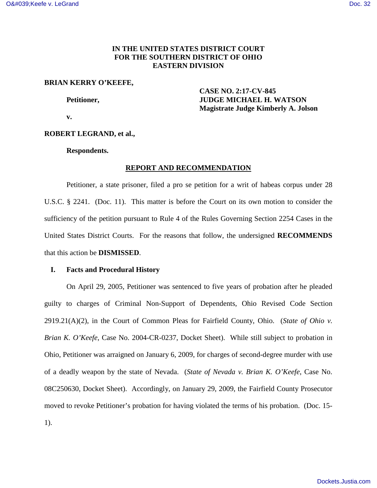# **IN THE UNITED STATES DISTRICT COURT FOR THE SOUTHERN DISTRICT OF OHIO EASTERN DIVISION**

# **BRIAN KERRY O'KEEFE,**

 **CASE NO. 2:17-CV-845 Petitioner, JUDGE MICHAEL H. WATSON Magistrate Judge Kimberly A. Jolson** 

 **v.** 

### **ROBERT LEGRAND, et al.,**

**Respondents.** 

# **REPORT AND RECOMMENDATION**

Petitioner, a state prisoner, filed a pro se petition for a writ of habeas corpus under 28 U.S.C. § 2241. (Doc. 11). This matter is before the Court on its own motion to consider the sufficiency of the petition pursuant to Rule 4 of the Rules Governing Section 2254 Cases in the United States District Courts. For the reasons that follow, the undersigned **RECOMMENDS**  that this action be **DISMISSED**.

#### **I. Facts and Procedural History**

On April 29, 2005, Petitioner was sentenced to five years of probation after he pleaded guilty to charges of Criminal Non-Support of Dependents, Ohio Revised Code Section 2919.21(A)(2), in the Court of Common Pleas for Fairfield County, Ohio. (*State of Ohio v. Brian K. O'Keefe*, Case No. 2004-CR-0237, Docket Sheet). While still subject to probation in Ohio, Petitioner was arraigned on January 6, 2009, for charges of second-degree murder with use of a deadly weapon by the state of Nevada. (*State of Nevada v. Brian K. O'Keefe*, Case No. 08C250630, Docket Sheet). Accordingly, on January 29, 2009, the Fairfield County Prosecutor moved to revoke Petitioner's probation for having violated the terms of his probation. (Doc. 15- 1).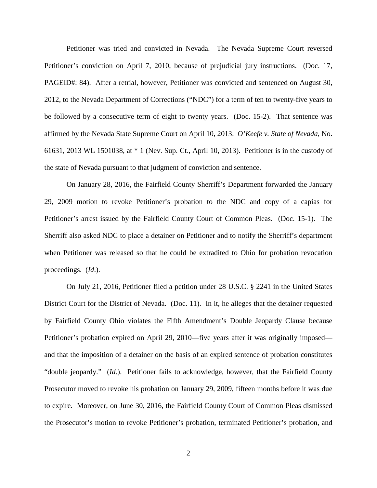Petitioner was tried and convicted in Nevada. The Nevada Supreme Court reversed Petitioner's conviction on April 7, 2010, because of prejudicial jury instructions. (Doc. 17, PAGEID#: 84). After a retrial, however, Petitioner was convicted and sentenced on August 30, 2012, to the Nevada Department of Corrections ("NDC") for a term of ten to twenty-five years to be followed by a consecutive term of eight to twenty years. (Doc. 15-2). That sentence was affirmed by the Nevada State Supreme Court on April 10, 2013. *O'Keefe v. State of Nevada*, No. 61631, 2013 WL 1501038, at \* 1 (Nev. Sup. Ct., April 10, 2013). Petitioner is in the custody of the state of Nevada pursuant to that judgment of conviction and sentence.

On January 28, 2016, the Fairfield County Sherriff's Department forwarded the January 29, 2009 motion to revoke Petitioner's probation to the NDC and copy of a capias for Petitioner's arrest issued by the Fairfield County Court of Common Pleas. (Doc. 15-1). The Sherriff also asked NDC to place a detainer on Petitioner and to notify the Sherriff's department when Petitioner was released so that he could be extradited to Ohio for probation revocation proceedings. (*Id*.).

On July 21, 2016, Petitioner filed a petition under 28 U.S.C. § 2241 in the United States District Court for the District of Nevada. (Doc. 11). In it, he alleges that the detainer requested by Fairfield County Ohio violates the Fifth Amendment's Double Jeopardy Clause because Petitioner's probation expired on April 29, 2010—five years after it was originally imposed and that the imposition of a detainer on the basis of an expired sentence of probation constitutes "double jeopardy." (*Id*.). Petitioner fails to acknowledge, however, that the Fairfield County Prosecutor moved to revoke his probation on January 29, 2009, fifteen months before it was due to expire. Moreover, on June 30, 2016, the Fairfield County Court of Common Pleas dismissed the Prosecutor's motion to revoke Petitioner's probation, terminated Petitioner's probation, and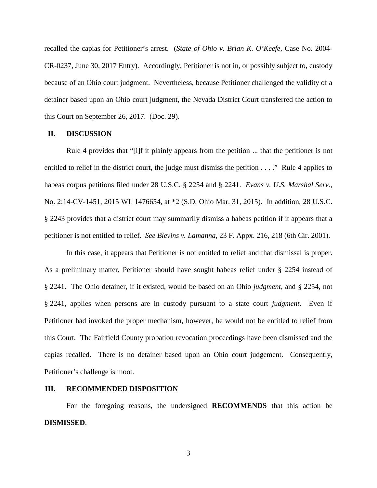recalled the capias for Petitioner's arrest. (*State of Ohio v. Brian K. O'Keefe*, Case No. 2004- CR-0237, June 30, 2017 Entry). Accordingly, Petitioner is not in, or possibly subject to, custody because of an Ohio court judgment. Nevertheless, because Petitioner challenged the validity of a detainer based upon an Ohio court judgment, the Nevada District Court transferred the action to this Court on September 26, 2017. (Doc. 29).

### **II. DISCUSSION**

Rule 4 provides that "[i]f it plainly appears from the petition ... that the petitioner is not entitled to relief in the district court, the judge must dismiss the petition . . . ." Rule 4 applies to habeas corpus petitions filed under 28 U.S.C. § 2254 and § 2241. *Evans v. U.S. Marshal Serv.*, No. 2:14-CV-1451, 2015 WL 1476654, at \*2 (S.D. Ohio Mar. 31, 2015). In addition, 28 U.S.C. § 2243 provides that a district court may summarily dismiss a habeas petition if it appears that a petitioner is not entitled to relief. *See Blevins v. Lamanna*, 23 F. Appx. 216, 218 (6th Cir. 2001).

In this case, it appears that Petitioner is not entitled to relief and that dismissal is proper. As a preliminary matter, Petitioner should have sought habeas relief under § 2254 instead of § 2241. The Ohio detainer, if it existed, would be based on an Ohio *judgment*, and § 2254, not § 2241, applies when persons are in custody pursuant to a state court *judgment*. Even if Petitioner had invoked the proper mechanism, however, he would not be entitled to relief from this Court. The Fairfield County probation revocation proceedings have been dismissed and the capias recalled. There is no detainer based upon an Ohio court judgement. Consequently, Petitioner's challenge is moot.

# **III. RECOMMENDED DISPOSITION**

For the foregoing reasons, the undersigned **RECOMMENDS** that this action be **DISMISSED**.